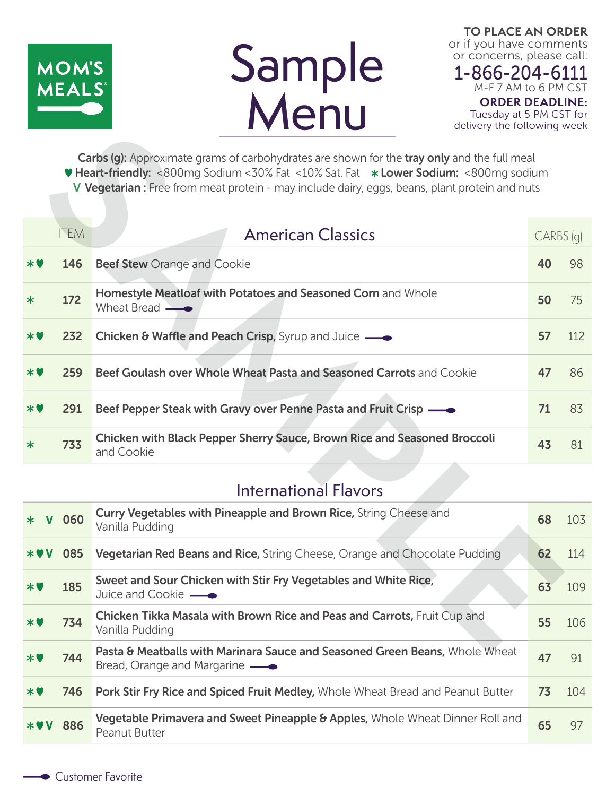

# Sample **Menu**

**TO PLACE AN ORDER** or if you have comments or concerns, please call:

1-866-204-6111 M-F 7 AM to 6 PM CST **ORDER DEADLINE:** Tuesday at 5 PM CST for delivery the following week

Carbs (g): Approximate grams of carbohydrates are shown for the tray only and the full meal **V Heart-friendly:** <800mg Sodium <30% Fat <10% Sat. Fat \*Lower Sodium: <800mg sodium V Vegetarian : Free from meat protein - may include dairy, eggs, beans, plant protein and nuts

|        | <b>ITEM</b> | <b>American Classics</b>                                                                      | CARBS (q) |     |
|--------|-------------|-----------------------------------------------------------------------------------------------|-----------|-----|
| $*$    | 146         | <b>Beef Stew Orange and Cookie</b>                                                            | 40        | 98  |
| $\ast$ | 172         | Homestyle Meatloaf with Potatoes and Seasoned Corn and Whole<br>Wheat Bread $\longrightarrow$ | 50        | 75  |
| $*$ V  | 232         | Chicken & Waffle and Peach Crisp, Syrup and Juice —                                           | 57        | 112 |
| $*$ V  | 259         | Beef Goulash over Whole Wheat Pasta and Seasoned Carrots and Cookie                           | 47        | 86  |
| $*$ V  | 291         | Beef Pepper Steak with Gravy over Penne Pasta and Fruit Crisp —                               | 71        | 83  |
| $\ast$ | 733         | Chicken with Black Pepper Sherry Sauce, Brown Rice and Seasoned Broccoli<br>and Cookie        | 43        | 81  |

# International Flavors

| $*$             | V 060 | Curry Vegetables with Pineapple and Brown Rice, String Cheese and<br>Vanilla Pudding                         | 68 | 103 |
|-----------------|-------|--------------------------------------------------------------------------------------------------------------|----|-----|
| $*$ VV          | 085   | <b>Vegetarian Red Beans and Rice, String Cheese, Orange and Chocolate Pudding</b>                            | 62 | 114 |
| $*$ V           | 185   | Sweet and Sour Chicken with Stir Fry Vegetables and White Rice,<br>Juice and Cookie —                        | 63 | 109 |
| $*$ V           | 734   | Chicken Tikka Masala with Brown Rice and Peas and Carrots, Fruit Cup and<br>Vanilla Pudding                  | 55 | 106 |
| $*$             | 744   | Pasta & Meatballs with Marinara Sauce and Seasoned Green Beans, Whole Wheat<br>Bread, Orange and Margarine — | 47 | 91  |
| $*$ $\mathbf v$ | 746   | Pork Stir Fry Rice and Spiced Fruit Medley, Whole Wheat Bread and Peanut Butter                              | 73 | 104 |
| <b>*VV 886</b>  |       | Vegetable Primavera and Sweet Pineapple & Apples, Whole Wheat Dinner Roll and<br><b>Peanut Butter</b>        | 65 | 97  |